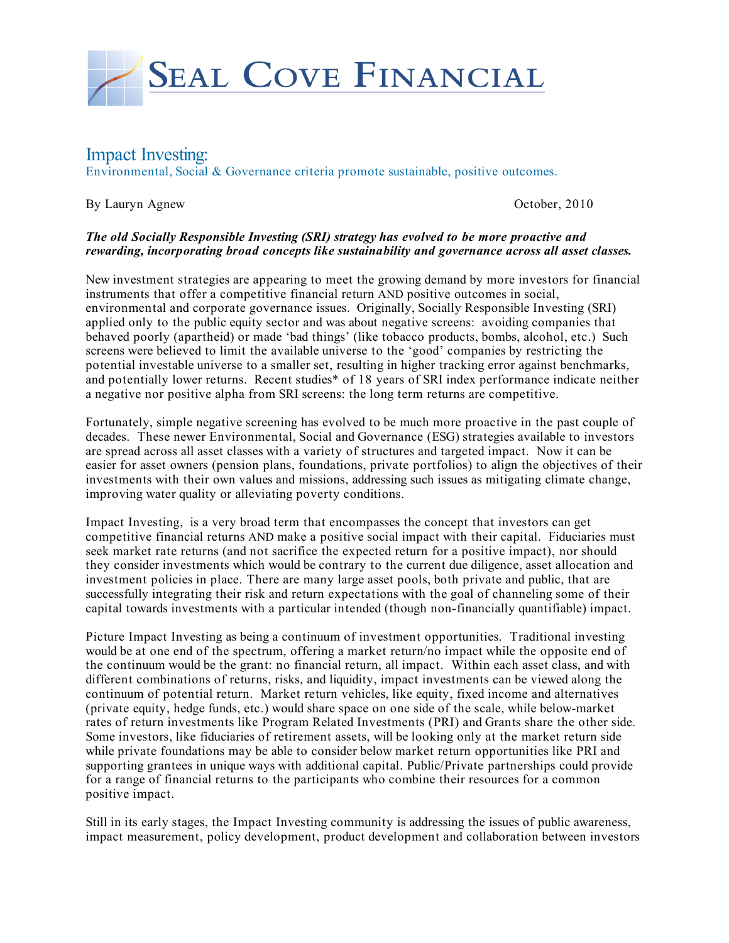

# Impact Investing:

Environmental, Social & Governance criteria promote sustainable, positive outcomes.

By Lauryn Agnew October, 2010

### *The old Socially Responsible Investing (SRI) strategy has evolved to be more proactive and rewarding, incorporating broad concepts like sustainability and governance across all asset classes.*

New investment strategies are appearing to meet the growing demand by more investors for financial instruments that offer a competitive financial return AND positive outcomes in social, environmental and corporate governance issues. Originally, Socially Responsible Investing (SRI) applied only to the public equity sector and was about negative screens: avoiding companies that behaved poorly (apartheid) or made 'bad things' (like tobacco products, bombs, alcohol, etc.) Such screens were believed to limit the available universe to the 'good' companies by restricting the potential investable universe to a smaller set, resulting in higher tracking error against benchmarks, and potentially lower returns. Recent studies\* of 18 years of SRI index performance indicate neither a negative nor positive alpha from SRI screens: the long term returns are competitive.

Fortunately, simple negative screening has evolved to be much more proactive in the past couple of decades. These newer Environmental, Social and Governance (ESG) strategies available to investors are spread across all asset classes with a variety of structures and targeted impact. Now it can be easier for asset owners (pension plans, foundations, private portfolios) to align the objectives of their investments with their own values and missions, addressing such issues as mitigating climate change, improving water quality or alleviating poverty conditions.

Impact Investing, is a very broad term that encompasses the concept that investors can get competitive financial returns AND make a positive social impact with their capital. Fiduciaries must seek market rate returns (and not sacrifice the expected return for a positive impact), nor should they consider investments which would be contrary to the current due diligence, asset allocation and investment policies in place. There are many large asset pools, both private and public, that are successfully integrating their risk and return expectations with the goal of channeling some of their capital towards investments with a particular intended (though non-financially quantifiable) impact.

Picture Impact Investing as being a continuum of investment opportunities. Traditional investing would be at one end of the spectrum, offering a market return/no impact while the opposite end of the continuum would be the grant: no financial return, all impact. Within each asset class, and with different combinations of returns, risks, and liquidity, impact investments can be viewed along the continuum of potential return. Market return vehicles, like equity, fixed income and alternatives (private equity, hedge funds, etc.) would share space on one side of the scale, while below-market rates of return investments like Program Related Investments (PRI) and Grants share the other side. Some investors, like fiduciaries of retirement assets, will be looking only at the market return side while private foundations may be able to consider below market return opportunities like PRI and supporting grantees in unique ways with additional capital. Public/Private partnerships could provide for a range of financial returns to the participants who combine their resources for a common positive impact.

Still in its early stages, the Impact Investing community is addressing the issues of public awareness, impact measurement, policy development, product development and collaboration between investors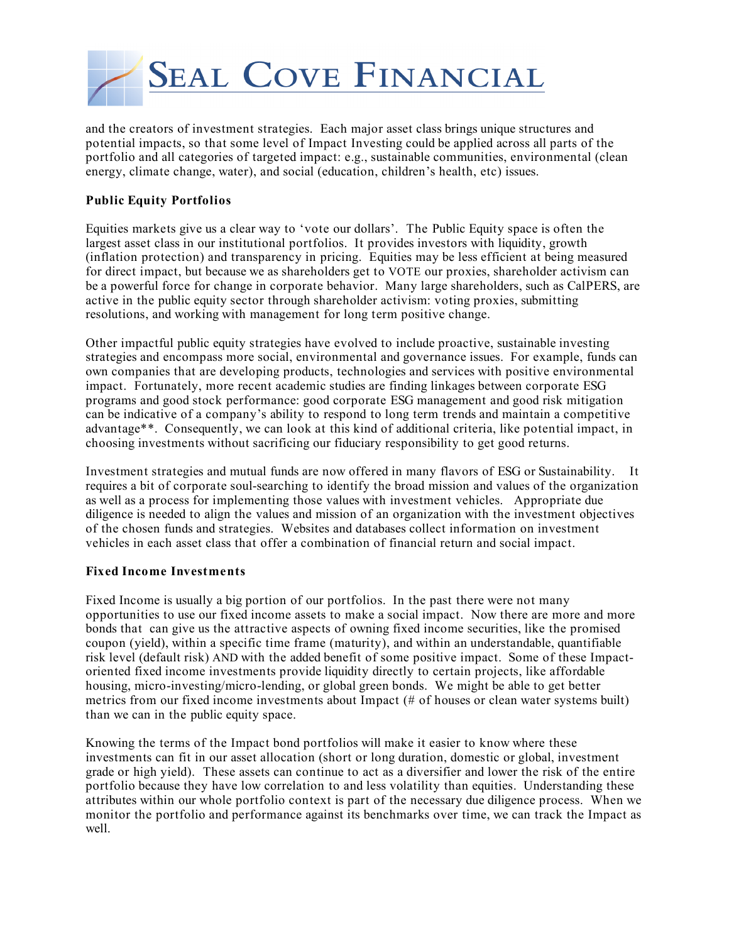

and the creators of investment strategies. Each major asset class brings unique structures and potential impacts, so that some level of Impact Investing could be applied across all parts of the portfolio and all categories of targeted impact: e.g., sustainable communities, environmental (clean energy, climate change, water), and social (education, children's health, etc) issues.

## **Public Equity Portfolios**

Equities markets give us a clear way to 'vote our dollars'. The Public Equity space is often the largest asset class in our institutional portfolios. It provides investors with liquidity, growth (inflation protection) and transparency in pricing. Equities may be less efficient at being measured for direct impact, but because we as shareholders get to VOTE our proxies, shareholder activism can be a powerful force for change in corporate behavior. Many large shareholders, such as CalPERS, are active in the public equity sector through shareholder activism: voting proxies, submitting resolutions, and working with management for long term positive change.

Other impactful public equity strategies have evolved to include proactive, sustainable investing strategies and encompass more social, environmental and governance issues. For example, funds can own companies that are developing products, technologies and services with positive environmental impact. Fortunately, more recent academic studies are finding linkages between corporate ESG programs and good stock performance: good corporate ESG management and good risk mitigation can be indicative of a company's ability to respond to long term trends and maintain a competitive advantage\*\*. Consequently, we can look at this kind of additional criteria, like potential impact, in choosing investments without sacrificing our fiduciary responsibility to get good returns.

Investment strategies and mutual funds are now offered in many flavors of ESG or Sustainability. It requires a bit of corporate soul-searching to identify the broad mission and values of the organization as well as a process for implementing those values with investment vehicles. Appropriate due diligence is needed to align the values and mission of an organization with the investment objectives of the chosen funds and strategies. Websites and databases collect information on investment vehicles in each asset class that offer a combination of financial return and social impact.

### **Fixed Income Investments**

Fixed Income is usually a big portion of our portfolios. In the past there were not many opportunities to use our fixed income assets to make a social impact. Now there are more and more bonds that can give us the attractive aspects of owning fixed income securities, like the promised coupon (yield), within a specific time frame (maturity), and within an understandable, quantifiable risk level (default risk) AND with the added benefit of some positive impact. Some of these Impactoriented fixed income investments provide liquidity directly to certain projects, like affordable housing, micro-investing/micro-lending, or global green bonds. We might be able to get better metrics from our fixed income investments about Impact (# of houses or clean water systems built) than we can in the public equity space.

Knowing the terms of the Impact bond portfolios will make it easier to know where these investments can fit in our asset allocation (short or long duration, domestic or global, investment grade or high yield). These assets can continue to act as a diversifier and lower the risk of the entire portfolio because they have low correlation to and less volatility than equities. Understanding these attributes within our whole portfolio context is part of the necessary due diligence process. When we monitor the portfolio and performance against its benchmarks over time, we can track the Impact as well.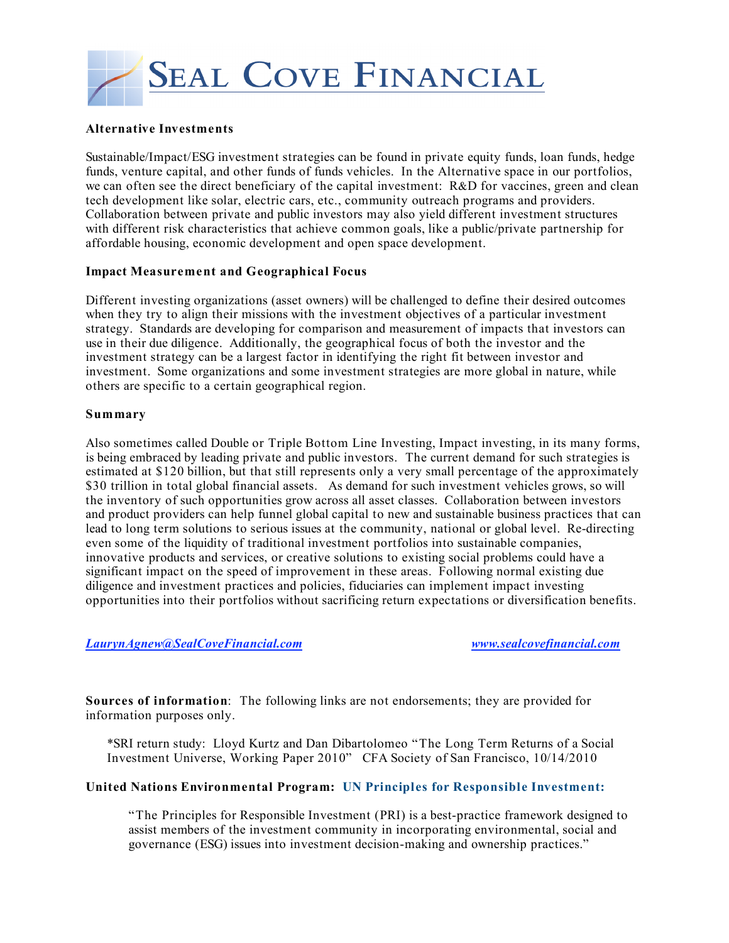

#### **Alternative Investments**

Sustainable/Impact/ESG investment strategies can be found in private equity funds, loan funds, hedge funds, venture capital, and other funds of funds vehicles. In the Alternative space in our portfolios, we can often see the direct beneficiary of the capital investment: R&D for vaccines, green and clean tech development like solar, electric cars, etc., community outreach programs and providers. Collaboration between private and public investors may also yield different investment structures with different risk characteristics that achieve common goals, like a public/private partnership for affordable housing, economic development and open space development.

### **Impact Measurement and Geographical Focus**

Different investing organizations (asset owners) will be challenged to define their desired outcomes when they try to align their missions with the investment objectives of a particular investment strategy. Standards are developing for comparison and measurement of impacts that investors can use in their due diligence. Additionally, the geographical focus of both the investor and the investment strategy can be a largest factor in identifying the right fit between investor and investment. Some organizations and some investment strategies are more global in nature, while others are specific to a certain geographical region.

#### **Summary**

Also sometimes called Double or Triple Bottom Line Investing, Impact investing, in its many forms, is being embraced by leading private and public investors. The current demand for such strategies is estimated at \$120 billion, but that still represents only a very small percentage of the approximately \$30 trillion in total global financial assets. As demand for such investment vehicles grows, so will the inventory of such opportunities grow across all asset classes. Collaboration between investors and product providers can help funnel global capital to new and sustainable business practices that can lead to long term solutions to serious issues at the community, national or global level. Re-directing even some of the liquidity of traditional investment portfolios into sustainable companies, innovative products and services, or creative solutions to existing social problems could have a significant impact on the speed of improvement in these areas. Following normal existing due diligence and investment practices and policies, fiduciaries can implement impact investing opportunities into their portfolios without sacrificing return expectations or diversification benefits.

### *LaurynAgnew@SealCoveFinancial.com www.sealcovefinancial.com*

**Sources of information**: The following links are not endorsements; they are provided for information purposes only.

\*SRI return study: Lloyd Kurtz and Dan Dibartolomeo "The Long Term Returns of a Social Investment Universe, Working Paper 2010" CFA Society of San Francisco, 10/14/2010

### **United Nations Environmental Program: UN Principles for Responsible Investment:**

"The Principles for Responsible Investment (PRI) is a best-practice framework designed to assist members of the investment community in incorporating environmental, social and governance (ESG) issues into investment decision-making and ownership practices."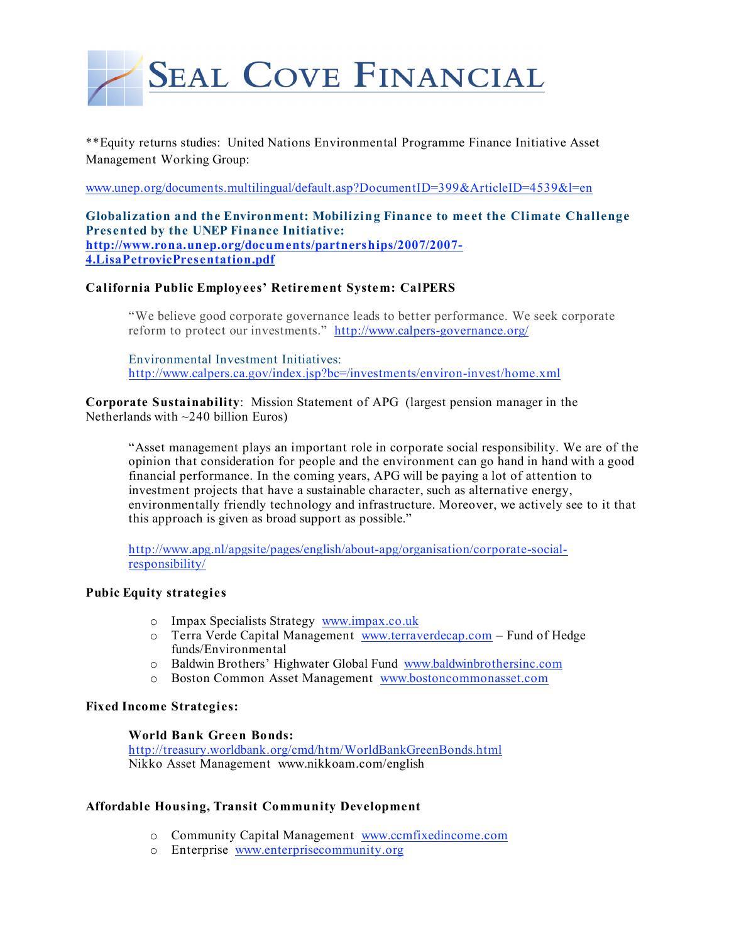

\*\*Equity returns studies: United Nations Environmental Programme Finance Initiative Asset Management Working Group:

www.unep.org/documents.multilingual/default.asp?DocumentID=399&ArticleID=4539&l=en

**Globalization and the Environment: Mobilizing Finance to meet the Climate Challenge Presented by the UNEP Finance Initiative: http://www.rona.unep.org/documents/partnerships/2007/2007- 4.LisaPetrovicPresentation.pdf**

### **California Public Employees' Retirement System: CalPERS**

"We believe good corporate governance leads to better performance. We seek corporate reform to protect our investments." http://www.calpers-governance.org/

Environmental Investment Initiatives: http://www.calpers.ca.gov/index.jsp?bc=/investments/environ-invest/home.xml

**Corporate Sustainability**: Mission Statement of APG (largest pension manager in the Netherlands with  $\sim$ 240 billion Euros)

"Asset management plays an important role in corporate social responsibility. We are of the opinion that consideration for people and the environment can go hand in hand with a good financial performance. In the coming years, APG will be paying a lot of attention to investment projects that have a sustainable character, such as alternative energy, environmentally friendly technology and infrastructure. Moreover, we actively see to it that this approach is given as broad support as possible."

http://www.apg.nl/apgsite/pages/english/about-apg/organisation/corporate-socialresponsibility/

### **Pubic Equity strategies**

- o Impax Specialists Strategy www.impax.co.uk
- o Terra Verde Capital Management www.terraverdecap.com Fund of Hedge funds/Environmental
- o Baldwin Brothers' Highwater Global Fund www.baldwinbrothersinc.com
- o Boston Common Asset Management www.bostoncommonasset.com

## **Fixed Income Strategies:**

#### **World Bank Green Bonds:**

http://treasury.worldbank.org/cmd/htm/WorldBankGreenBonds.html Nikko Asset Management www.nikkoam.com/english

#### **Affordable Housing, Transit Community Development**

- o Community Capital Management www.ccmfixedincome.com
- o Enterprise www.enterprisecommunity.org